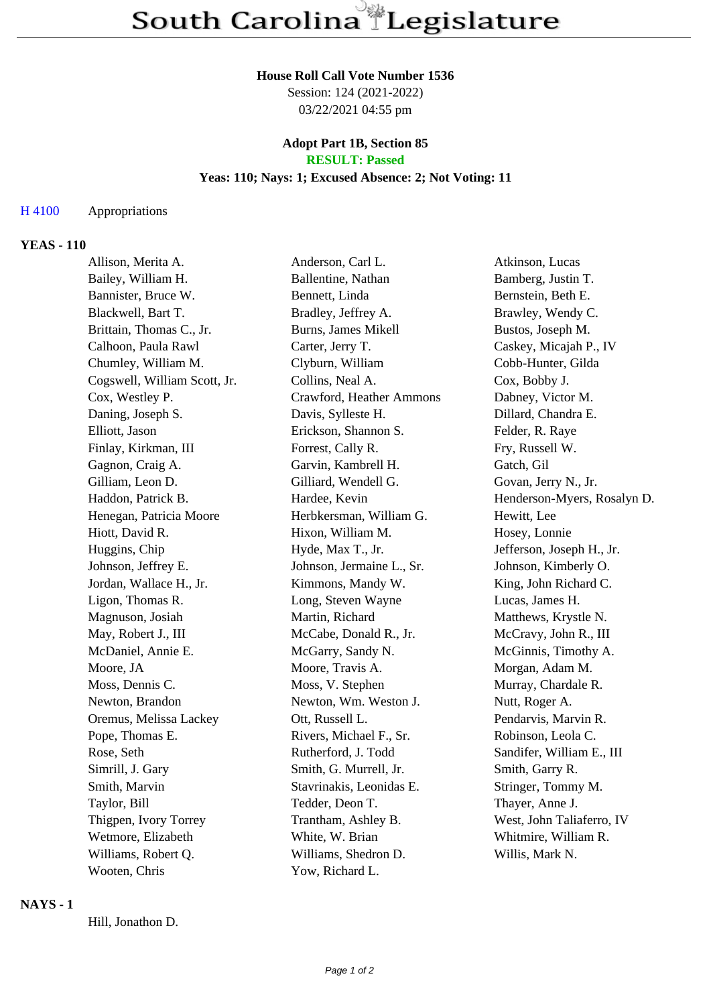#### **House Roll Call Vote Number 1536**

Session: 124 (2021-2022) 03/22/2021 04:55 pm

### **Adopt Part 1B, Section 85 RESULT: Passed**

# **Yeas: 110; Nays: 1; Excused Absence: 2; Not Voting: 11**

## H 4100 Appropriations

## **YEAS - 110**

| Allison, Merita A.           | Anderson, Carl L.         | Atkinson, Lucas             |
|------------------------------|---------------------------|-----------------------------|
| Bailey, William H.           | Ballentine, Nathan        | Bamberg, Justin T.          |
| Bannister, Bruce W.          | Bennett, Linda            | Bernstein, Beth E.          |
| Blackwell, Bart T.           | Bradley, Jeffrey A.       | Brawley, Wendy C.           |
| Brittain, Thomas C., Jr.     | Burns, James Mikell       | Bustos, Joseph M.           |
| Calhoon, Paula Rawl          | Carter, Jerry T.          | Caskey, Micajah P., IV      |
| Chumley, William M.          | Clyburn, William          | Cobb-Hunter, Gilda          |
| Cogswell, William Scott, Jr. | Collins, Neal A.          | Cox, Bobby J.               |
| Cox, Westley P.              | Crawford, Heather Ammons  | Dabney, Victor M.           |
| Daning, Joseph S.            | Davis, Sylleste H.        | Dillard, Chandra E.         |
| Elliott, Jason               | Erickson, Shannon S.      | Felder, R. Raye             |
| Finlay, Kirkman, III         | Forrest, Cally R.         | Fry, Russell W.             |
| Gagnon, Craig A.             | Garvin, Kambrell H.       | Gatch, Gil                  |
| Gilliam, Leon D.             | Gilliard, Wendell G.      | Govan, Jerry N., Jr.        |
| Haddon, Patrick B.           | Hardee, Kevin             | Henderson-Myers, Rosalyn D. |
| Henegan, Patricia Moore      | Herbkersman, William G.   | Hewitt, Lee                 |
| Hiott, David R.              | Hixon, William M.         | Hosey, Lonnie               |
| Huggins, Chip                | Hyde, Max T., Jr.         | Jefferson, Joseph H., Jr.   |
| Johnson, Jeffrey E.          | Johnson, Jermaine L., Sr. | Johnson, Kimberly O.        |
| Jordan, Wallace H., Jr.      | Kimmons, Mandy W.         | King, John Richard C.       |
| Ligon, Thomas R.             | Long, Steven Wayne        | Lucas, James H.             |
| Magnuson, Josiah             | Martin, Richard           | Matthews, Krystle N.        |
| May, Robert J., III          | McCabe, Donald R., Jr.    | McCravy, John R., III       |
| McDaniel, Annie E.           | McGarry, Sandy N.         | McGinnis, Timothy A.        |
| Moore, JA                    | Moore, Travis A.          | Morgan, Adam M.             |
| Moss, Dennis C.              | Moss, V. Stephen          | Murray, Chardale R.         |
| Newton, Brandon              | Newton, Wm. Weston J.     | Nutt, Roger A.              |
| Oremus, Melissa Lackey       | Ott, Russell L.           | Pendarvis, Marvin R.        |
| Pope, Thomas E.              | Rivers, Michael F., Sr.   | Robinson, Leola C.          |
| Rose, Seth                   | Rutherford, J. Todd       | Sandifer, William E., III   |
| Simrill, J. Gary             | Smith, G. Murrell, Jr.    | Smith, Garry R.             |
| Smith, Marvin                | Stavrinakis, Leonidas E.  | Stringer, Tommy M.          |
| Taylor, Bill                 | Tedder, Deon T.           | Thayer, Anne J.             |
| Thigpen, Ivory Torrey        | Trantham, Ashley B.       | West, John Taliaferro, IV   |
| Wetmore, Elizabeth           | White, W. Brian           | Whitmire, William R.        |
| Williams, Robert Q.          | Williams, Shedron D.      | Willis, Mark N.             |
| Wooten, Chris                | Yow, Richard L.           |                             |

### **NAYS - 1**

Hill, Jonathon D.